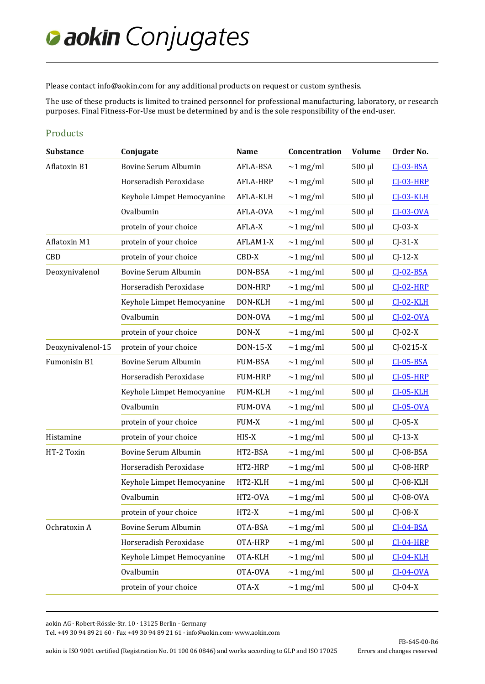## *Caokin Conjugates*

Please contact [info@aokin.com](mailto:info@aokin.com) for any additional products on request or custom synthesis.

The use of these products is limited to trained personnel for professional manufacturing, laboratory, or research purposes. Final Fitness-For-Use must be determined by and is the sole responsibility of the end-user.

## Products

| <b>Substance</b>  | Conjugate                   | <b>Name</b>    | Concentration  | <b>Volume</b> | Order No.        |
|-------------------|-----------------------------|----------------|----------------|---------------|------------------|
| Aflatoxin B1      | Bovine Serum Albumin        | AFLA-BSA       | $\sim$ 1 mg/ml | $500 \mu l$   | $CI-03-BSA$      |
|                   | Horseradish Peroxidase      | AFLA-HRP       | $\sim$ 1 mg/ml | $500 \mu l$   | <b>CJ-03-HRP</b> |
|                   | Keyhole Limpet Hemocyanine  | AFLA-KLH       | $\sim$ 1 mg/ml | $500 \mu l$   | <b>CJ-03-KLH</b> |
|                   | Ovalbumin                   | AFLA-OVA       | $\sim$ 1 mg/ml | $500 \mu l$   | $CI-03-OVA$      |
|                   | protein of your choice      | AFLA-X         | $\sim$ 1 mg/ml | $500 \mu l$   | $C$ J $-03-X$    |
| Aflatoxin M1      | protein of your choice      | AFLAM1-X       | $\sim$ 1 mg/ml | $500 \mu l$   | $CJ-31-X$        |
| CBD               | protein of your choice      | CBD-X          | $\sim$ 1 mg/ml | $500 \mu l$   | $CJ-12-X$        |
| Deoxynivalenol    | Bovine Serum Albumin        | DON-BSA        | $\sim$ 1 mg/ml | 500 µl        | $CI-02-BSA$      |
|                   | Horseradish Peroxidase      | DON-HRP        | $\sim$ 1 mg/ml | $500 \mu l$   | <b>CJ-02-HRP</b> |
|                   | Keyhole Limpet Hemocyanine  | DON-KLH        | $\sim$ 1 mg/ml | $500 \mu l$   | $CI-02-KLH$      |
|                   | Ovalbumin                   | DON-OVA        | $\sim$ 1 mg/ml | $500 \mu l$   | $CI-02-0VA$      |
|                   | protein of your choice      | DON-X          | $\sim$ 1 mg/ml | $500 \mu l$   | $CJ-02-X$        |
| Deoxynivalenol-15 | protein of your choice      | DON-15-X       | $\sim$ 1 mg/ml | $500 \mu l$   | $CJ-0215-X$      |
| Fumonisin B1      | Bovine Serum Albumin        | <b>FUM-BSA</b> | $\sim$ 1 mg/ml | $500 \mu l$   | $CI-05-BSA$      |
|                   | Horseradish Peroxidase      | <b>FUM-HRP</b> | $\sim$ 1 mg/ml | $500 \mu l$   | <b>CJ-05-HRP</b> |
|                   | Keyhole Limpet Hemocyanine  | <b>FUM-KLH</b> | $\sim$ 1 mg/ml | $500 \mu l$   | <b>CJ-05-KLH</b> |
|                   | Ovalbumin                   | <b>FUM-OVA</b> | $\sim$ 1 mg/ml | $500 \mu l$   | $CI-05-OVA$      |
|                   | protein of your choice      | <b>FUM-X</b>   | $\sim$ 1 mg/ml | $500 \mu l$   | $CJ-05-X$        |
| Histamine         | protein of your choice      | HIS-X          | $\sim$ 1 mg/ml | $500 \mu l$   | $CJ-13-X$        |
| HT-2 Toxin        | <b>Bovine Serum Albumin</b> | HT2-BSA        | $\sim$ 1 mg/ml | $500 \mu l$   | $CJ-08-BSA$      |
|                   | Horseradish Peroxidase      | HT2-HRP        | $\sim$ 1 mg/ml | $500 \mu l$   | CJ-08-HRP        |
|                   | Keyhole Limpet Hemocyanine  | HT2-KLH        | $\sim$ 1 mg/ml | $500 \mu l$   | CJ-08-KLH        |
|                   | Ovalbumin                   | HT2-OVA        | $\sim$ 1 mg/ml | $500 \mu l$   | $C$ J-08-OVA     |
|                   | protein of your choice      | $HT2-X$        | $\sim$ 1 mg/ml | $500 \mu l$   | $C$ J-08-X       |
| Ochratoxin A      | Bovine Serum Albumin        | OTA-BSA        | $\sim$ 1 mg/ml | $500 \mu l$   | $CI-04-BSA$      |
|                   | Horseradish Peroxidase      | OTA-HRP        | $\sim$ 1 mg/ml | $500 \mu l$   | $CI-04-HRP$      |
|                   | Keyhole Limpet Hemocyanine  | OTA-KLH        | $\sim$ 1 mg/ml | $500 \mu l$   | <b>CJ-04-KLH</b> |
|                   | Ovalbumin                   | OTA-OVA        | $\sim$ 1 mg/ml | $500 \mu l$   | $CI-04-0VA$      |
|                   | protein of your choice      | OTA-X          | $\sim$ 1 mg/ml | 500 µl        | $CJ-04-X$        |
|                   |                             |                |                |               |                  |

aokin AG · Robert-Rössle-Str. 10 · 13125 Berlin · Germany

Tel. +49 30 94 89 21 60 · Fax +49 30 94 89 21 61 [· info@aokin.com·](mailto:info@aokin.com) [www.aokin.com](http://www.aokin.com/)